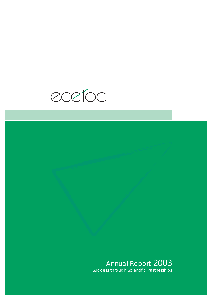

Annual Report 2003 Success through Scientific Partnerships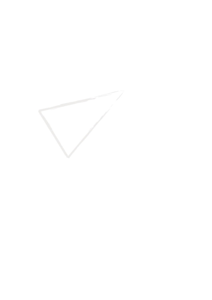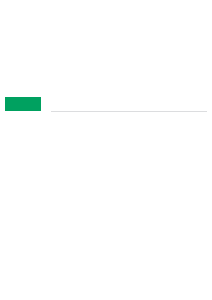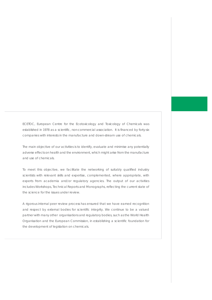ECETOC, European Centre for the Ecotoxicology and Toxicology of Chemicals was established in 1978 as a scientific, non-commercial association. It is financed by forty-six companies with interests in the manufacture and down-stream use of chemicals.

The main objective of our activities is to identify, evaluate and minimise any potentially adverse effects on health and the environment, which might arise from the manufacture and use of chemicals.

To meet this objective, we facilitate the networking of suitably qualified industry scientists with relevant skills and expertise, complemented, where appropriate, with experts from academia and/or regulatory agencies. The output of our activities includes Workshops, Technical Reports and Monographs, reflecting the current state of the science for the issues under review.

A rigorous internal peer review process has ensured that we have earned recognition and respect by external bodies for scientific integrity. We continue to be a valued partner with many other organisations and regulatory bodies, such as the World Health Organisation and the European Commission, in establishing a scientific foundation for the development of legislation on chemicals.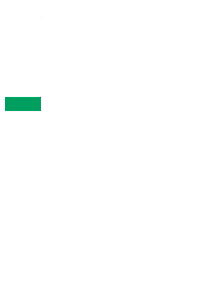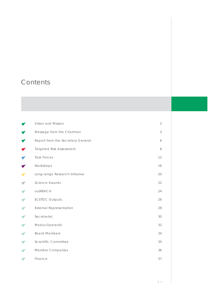# **Contents**

| Vision and Mission                | $\overline{2}$ |
|-----------------------------------|----------------|
| Message from the Chairman         | 3              |
| Report from the Secretary General | 6              |
| <b>Targeted Risk Assessment</b>   | 8              |
| <b>Task Forces</b>                | 12             |
| Workshops                         | 16             |
| Long-range Research Initiative    | 20             |
| <b>Science Awards</b>             | 22             |
| outREACH                          | 24             |
| <b>ECETOC Outputs</b>             | 26             |
| <b>External Representation</b>    | 28             |
| Secretariat                       | 30             |
| Modus Operandi                    | 32             |
| <b>Board Members</b>              | 34             |
| <b>Scientific Committee</b>       | 35             |
| <b>Member Companies</b>           | 36             |
| Finance                           | 37             |
|                                   |                |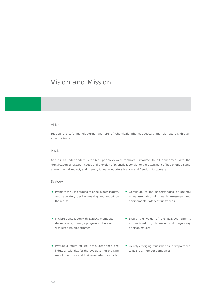## Vision and Mission

#### Vision

Support the safe manufacturing and use of chemicals, pharmaceuticals and biomaterials through sound science

#### Mission

Act as an independent, credible, peer-reviewed technical resource to all concerned with the identification of research needs and provision of scientific rationale for the assessment of health effects and environmental impact, and thereby to justify industry's licence and freedom to operate

#### Strategy

- $\blacktriangleright$  Promote the use of sound science in both industry and regulatory decision-making and report on the results
- $\blacktriangleright$  In close consultation with ECETOC members, define scope, manage progress and interact with research programmes
- **Provide a forum for regulators, academic and** industrial scientists for the evaluation of the safe use of chemicals and their associated products
- Contribute to the understanding of societal issues associated with health assessment and environmental safety of substances
- Ensure the value of the ECETOC offer is appreciated by business and regulatory decision makers
- $\blacktriangledown$  Identify emerging issues that are of importance to ECETOC member companies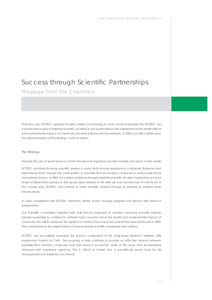# Success through Scientific Partnerships

Message from the Chairman

One year ago, ECETOC updated its vision, mission and strategy to more clearly emphasise that ECETOC has a pivotal role to play in fostering scientific excellence and partnerships in the assessment of the health effects and environmental impact of chemicals, pharmaceuticals and biomaterials. In 2003, our 25th Jubilee year, the implementation of this strategy came to fruition.

## The Strategy

#### *Promote the use of sound science in both industry and regulatory decision-making and report on the results*

ECETOC maintains its strong scientific presence, particularly among regulators at a National, European and International level, through the participation of scientists from its member companies in various task forces and external forums. In 2003, the Jubilee workshops brought together scientific decision-makers from a broad range of stakeholder groups, to discuss key issues relative to the safe use and manufacture of chemicals. In the coming year, ECETOC will continue to foster scientific debate through its networks to address these industry issues.

*In close consultation with ECETOC members, define scope, manage progress and interact with research programmes*

Our Scientific Committee, together with Task Forces composed of member company scientific experts, provide leadership to continue to address major concerns about the health and environmental impact of chemicals. The visible results are the significant number of technical documents that were produced in 2003. This commitment to the dissemination of peer-reviewed scientific knowledge will continue.

ECETOC has successfully managed the science component of the Long-range Research Initiative (LRI) programme funded by Cefic. This on-going activity continues to provide an effective network between scientists from member companies and their peers in academia, while at the same time incorporating dialogues with regulatory agencies. This is critical to ensure that a scientifically sound basis for risk management and legislation is achieved.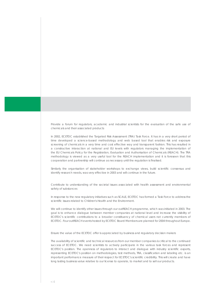*Provide a forum for regulators, academic and industrial scientists for the evaluation of the safe use of chemicals and their associated products*

In 2002, ECETOC established the Targeted Risk Assessment (TRA) Task Force. It has in a very short period of time developed a science-based methodology and web based tool that enables risk and exposure screening of chemicals in a very time and cost effective way and transparent fashion. This has resulted in a constructive interaction at national and EU levels with regulators managing the implementation of the EU Chemicals Policy for the Registration, Evaluation and Authorisation of Chemicals (REACH). The TRA methodology is viewed as a very useful tool for the REACH implementation and it is foreseen that this cooperation and partnership will continue as necessary until the regulation is finalised.

Similarly the organisation of stakeholder workshops to exchange views, build scientific consensus and identify research needs, was very effective in 2003 and will continue in the future.

### *Contribute to understanding of the societal issues associated with health assessment and environmental safety of substances*

In response to the new regulatory initiatives such as SCALE, ECETOC has formed a Task Force to address the scientific issues related to Children's Health and the Environment.

We will continue to identify other issues through our outREACH programme, which was initiated in 2003. The goal is to enhance dialogue between member companies at national level and increase the visibility of ECETOC's scientific contributions to a broader constituency of chemical users not currently members of ECETOC. Four outREACH events hosted by ECETOC Board Members are planned for 2004 throughout Europe.

#### *Ensure the value of the ECETOC offer is appreciated by business and regulatory decision makers*

The availability of scientific and technical resources from our member companies is critical to the continued success of ECETOC. We need scientists to actively participate in the various task forces and represent ECETOC's position. The openness of regulators to interact and dialogue with industry scientific experts, representing ECETOC's position on methodologies, test methods, TRA, classification and labeling etc. is an important performance measure of their respect for ECETOC's scientific credibility. This will create and have long lasting business value relative to our license to operate, to market and to sell our products.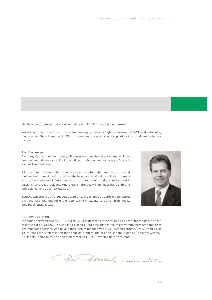< Success through Scientific Partnerships >

*Identify emerging issues that are of importance to ECETOC member companies* 

We will continue to identify and understand emerging issues through our various outREACH and networking programmes. This will enable ECETOC to assess and develop scientific positions in a timely and effective manner.

#### The Challenge

The many demands on our industry will continue as health and environmental issues come more to the forefront. The focus will be on whether our products are fully safe for their intended uses.

It is important, therefore, that sound science is applied when methodologies and tools are being developed to evaluate the hazards and risks of chemicals to humans and to the environment. Only through a concerted effort of all parties involved in efficiently and effectively resolving these challenges will our industries be able to compete in the global marketplace.

ECETOC will strive to deliver success based on sound science by building partnerships and alliances and engaging the best scientific experts to deliver high quality credible scientific results.



#### Acknowledgements

The main achievements of ECETOC during 2003 are described in the following pages of this report. On behalf of the Board of ECETOC, I would like to extend our appreciation to the scientists from member companies and other organisations, who have contributed to the success of ECETOC's programme. Finally, I would also like to thank the Secretariat for their ongoing support, and in particular, the outgoing Secretary General, Dr. Francis Carpanini, for his dedicated service to ECETOC over the past eight years.

*Peter Peschak Chairman, ECETOC Board of Directors*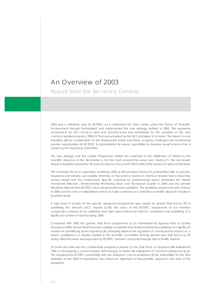## An Overview of 2003

Report from the Secretary General

2003 was a milestone year for ECETOC as it celebrated the 25th Jubilee under the theme of "Scientific Achievement through Partnerships" and implemented the new strategy defined in 2002. The regulatory environment for the chemical users and manufacturers was dominated by the evolution of the new chemical substances policy "REACH" that was adopted by the EU Commission in October. The impact on our industries will be considerable for the foreseeable future and these on-going challenges will nevertheless provide opportunities for ECETOC to demonstrate its unique capabilities to develop sound science that is valued by the regulatory authorities.

The new strategy and the Jubilee Programme shifted the emphasis of the distribution of efforts by the scientific resources of the Secretariat in the five main programme areas (see charts p.7). The decreased resource targeted against the Technical Guidance Document (TGD) reflects the advanced status of this work.

The increased focus on organising workshops (WS) (p.16) provided forums for partnerships with academia, regulators and industry, successfully informing on the science needs on chemical related topics impacting human health and the environment. Specific emphasis on environmental topics addressed the "Water Framework Directive", "Environmental Monitoring Data" and "Ecological Quality" in 2003 and the premier Workshop Reports from ECETOC have subsequently been published. The workshop programme will continue in 2004 and become an established vehicle to build consensus on contentious scientific issues for industry in its widest sense.

A high level of activity for the specific substances programme saw closure for several Task Forces (TF) in publishing the relevant JACC reports (p.26); the value of this ECETOC programme to our member companies continues to be validated and high expectations are held for completion and publishing of a significant number of reports during 2004.

Compared with 2002 the generic Task Force programme (p.12) maintained its vigorous level of activity throughout 2003. Several Task Forces successfully completed their remits including the publishing of a significant number of scientifically sound reports (p.26). Emerging issues in the regulation of chemicals that impact on a broad constituency of industry resulted in the Scientific Committee forming several new Task Forces (p.12) during 2003 that were well supported by ECETOC member companies through their scientific experts.

Of particular note was the considerable progress achieved by the Task Force on Targeted Risk Assessment (TRA) in developing a science-based methodology to tiered risk assessment of chemical substances (p.8). The longstanding ECETOC partnership with the European Chemicals Bureau (ECB), responsible for the final definition of the REACH regulations, has enhanced alignment of this scientific approach with that of the regulators.

< 6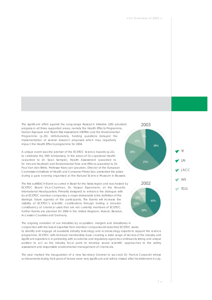The significant effort against the Long-range Research Initiative (LRI) provided progress in all three supported areas, namely the Health Effects Programme, Human Exposure and Tiered Risk Assessment (HETRA) and the Environmental Programme (p.20). Unfortunately, funding questions delayed the implementation of several research proposals which may negatively impact the Health Effects programme for 2004.

A unique event was the premier of the ECETOC Science Awards (p.22), to celebrate the 25th Anniversary, in the areas of Occupational Health (awarded to Dr. Sean Semple), Health Assessment (awarded to Dr. Vincent Haufroid) and Environmental Fate and Effects (awarded to Dr. Paul Van den Brink). Professor Kees van Leeuwen, Director of the European Commission's Institute of Health and Consumer Protection, presented the prizes during a gala evening organised at the Natural Science Museum in Brussels.

The first outREACH Event occurred in Basel for the Swiss region and was hosted by ECETOC Board Vice-Chairman, Dr. Kaspar Eigenmann, at the Novartis International Headquarters. Primarily designed to enhance the dialogue with local ECETOC member companies, a major deliverable is the definition of the strategic future agenda of the participants. The Events will increase the visibility of ECETOC's scientific contributions through inviting a broader constituency of chemical users that are not currently members of ECETOC. Further Events are planned for 2004 in the United Kingdom, Ireland, Benelux, Accession Countries and Germany.



The year marked the inauguration of a new Secretary General to succeed Dr. Francis Carpanini whose achievements during his 8 years of tenure were very significant and will be missed after his retirement in July.



40%

28%

 $120$ 



TF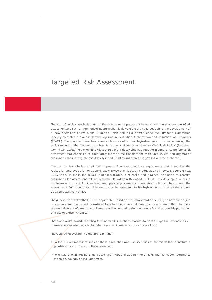## Targeted Risk Assessment

The lack of publicly available data on the hazardous properties of chemicals and the slow progress of risk assessment and risk management of industrial chemicals were the driving forces behind the development of a new chemicals policy in the European Union and as a consequence the European Commission recently presented a proposal for the Registration, Evaluation, Authorisation and Restrictions of Chemicals (REACH). The proposal describes essential features of a new legislative system for implementing the policy set out in the Commission White Paper on a "Strategy for a future Chemicals Policy" (European Commission 2001). The aim of REACH is to ensure that industry obtains adequate information to perform a risk assessment that enables it to adequately manage the risks from the manufacture, use and disposal of substances. The resulting chemical safety report (CSR) should then be registered with the authorities.

One of the key challenges of the proposed European chemicals legislation is that it requires the registration and evaluation of approximately 30,000 chemicals, by producers and importers, over the next 10-15 years. To make the REACH process workable, a scientific and practical approach to prioritise substances for assessment will be required. To address this need, ECETOC has developed a tiered or step-wise concept for identifying and prioritising scenarios where risks to human health and the environment from chemicals might reasonably be expected to be high enough to undertake a more detailed assessment of risk.

The general concept of the ECETOC approach is based on the premise that depending on both the degree of exposure and the hazard, considered together (because a risk can only occur when both of them are present), different information requirements will be needed to demonstrate safe and responsible production and use of a given chemical.

The process also considers existing (and new) risk reduction measures to control exposure, whenever such measures are needed in order to determine a 'no immediate concern' conclusion.

The Core Objectives behind the approach are:

- > To focus assessment resources on those production and use scenarios of chemicals that constitute a possible concern for man or the environment.
- > To ensure that all decisions are based upon RISK and account for all relevant information required to reach any soundly-based judgement.

< 8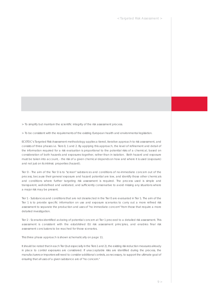< Targeted Risk Assessment >

> To simplify but maintain the scientific integrity of the risk assessment process.

> To be consistent with the requirements of the existing European health and environmental legislation.

ECETOC's Targeted Risk Assessment methodology applies a tiered, iterative approach to risk assessment, and consists of three phases i.e. Tiers 0, 1 and 2. By applying this approach, the level of refinement and detail of the information required for a risk evaluation is proportional to the potential risks of a chemical, based on consideration of both hazards and exposures together, rather than in isolation. Both hazard and exposure must be taken into account, - the risk of a given chemical depends on how and where it is used (exposure) and not just on its intrinsic properties (hazard).

Tier 0 - The aim of the Tier 0 is to "screen" substances and conditions of no-immediate concern out of the process, because their general exposure and hazard potential are low, and identify those other chemicals and conditions where further targeting risk assessment is required. The process used is simple and transparent, well-defined and validated, and sufficiently conservative to avoid missing any situations where a major risk may be present.

Tier 1 - Substances and conditions that are not deselected in the Tier 0 are evaluated in Tier 1. The aim of the Tier 1 is to provide specific information on use and exposure scenarios to carry out a more refined risk assessment to separate the production and uses of "no immediate concern" from those that require a more detailed investigation.

Tier 2 - Scenarios identified as being of potential concern at Tier 1 proceed to a detailed risk assessment. This assessment is consistent with the established EU risk assessment principles, and enables final risk assessment conclusions to be reached for those scenarios.

This three phase approach is shown schematically on page 11.

It should be noted that in each Tier (but especially in the Tiers 1 and 2), the existing risk reduction measures already in place to control exposures are considered. If unacceptable risks are identified during the process, the manufacturers or importers will need to consider additional controls, as necessary, to support the ultimate goal of ensuring that all uses of a given substance are of "no concern."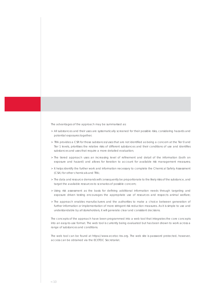The advantages of the approach may be summarised as:

- > All substances and their uses are systematically screened for their possible risks, considering hazards and potential exposures together;
- > TRA provides a CSR for those substances/uses that are not identified as being a concern at the Tier 0 and Tier 1 levels, prioritises the relative risks of different substances and their conditions of use and identifies substances and uses that require a more detailed evaluation;
- > The tiered approach uses an increasing level of refinement and detail of the information (both on exposure and hazard) and allows for iteration to account for available risk management measures;
- > It helps identify the further work and information necessary to complete the Chemical Safety Assessment (CSA) for other chemicals and TRA;
- > The data and resource demands will consequently be proportionate to the likely risks of the substance, and target the available resources to scenarios of possible concern;
- > Using risk assessment as the basis for defining additional information needs through targeting and exposure driven testing encourages the appropriate use of resources and respects animal welfare;
- > The approach enables manufacturers and the authorities to make a choice between generation of further information or implementation of more stringent risk reduction measures. As it is simple to use and understandable by all stakeholders, it will generate clear and consistent decisions.

The concepts of the approach have been programmed into a web tool that integrates the core concepts into an easy-to-use format. The web tool is currently being evaluated but has been shown to work across a range of substances and conditions.

The web tool can be found at https://www.ecetoc-tra.org. The web site is password protected, however, access can be obtained via the ECETOC Secretariat.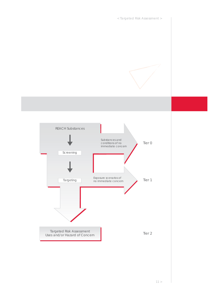< Targeted Risk Assessment >

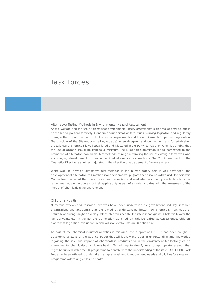## Task Forces

#### Alternative Testing Methods in Environmental Hazard Assessment

Animal welfare and the use of animals for environmental safety assessments is an area of growing public concern and political sensitivity. Concern about animal welfare issues is driving legislative and regulatory changes that impact on the conduct of animal experiments and the requirements for product registration. The principle of the 3Rs (reduce, refine, replace) when designing and conducting tests for establishing the safe use of chemicals is well established and it is stated in the EC White Paper on Chemicals Policy that the use of animals should be kept to a minimum. The European Commission is also committed to the promotion of alternative non-animal test methods, through maximising the use of existing alternatives, and encouraging development of new non-animal alternative test methods. The 7th Amendment to the Cosmetics Directive is another major step in the direction of replacement of animals in tests.

Whilst work to develop alternative test methods in the human safety field is well advanced, the development of alternative test methods for environmental purposes needs to be addressed. The Scientific Committee concluded that there was a need to review and evaluate the currently available alternative testing methods in the context of their applicability as part of a strategy to deal with the assessment of the impact of chemicals in the environment.

#### Children's Health

Numerous reviews and research initiatives have been undertaken by government, industry, research organisations and academia that are aimed at understanding better how chemicals, man-made or naturally occurring, might adversely affect children's health. This interest has grown substantially over the last 2-3 years, e.g. in the EU, the Commission launched an initiative called SCALE (science, children, awareness, legislation, evaluation) which will soon evolve into an EU action plan.

As part of the chemical industry's activities in this area, the support of ECETOC has been sought in developing a State of the Science Paper that will identify the gaps in understanding and knowledge regarding the role and impact of chemicals in products and in the environment (collectively called environmental chemicals) on children's health. This will help to identify areas of appropriate research that might be funded within the LRI programme to contribute to the understanding of the issue. An ECETOC Task Force has been initiated to undertake this gap analysis and to recommend needs and priorities for a research programme addressing children's health.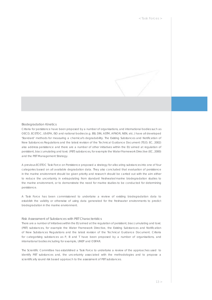## Biodegradation Kinetics

Criteria for persistence have been proposed by a number of organisations, and international bodies such as OECD, ECETOC, US-EPA, ISO and national bodies (e.g. BSI, DIN, ASTM, AFNOR, NEN, etc.) have all developed 'Standard' methods for measuring a chemical's degradability. The Existing Substances and Notification of New Substances Regulations and the latest revision of the Technical Guidance Document (TGD; EC, 2002) also address persistence and there are a number of other initiatives within the EU aimed at regulation of persistent, biaccumulating and toxic (PBT) substances, for example the Water Framework Directive (EC, 2000) and the PBT Management Strategy.

A previous ECETOC Task Force on Persistence proposed a strategy for allocating substances into one of four categories based on all available degradation data. They also concluded that evaluation of persistence in the marine environment should be given priority and research should be carried out with the aim either to reduce the uncertainty in extrapolating from standard freshwater/marine biodegradation studies to the marine environment, or to demonstrate the need for marine studies to be conducted for determining persistence.

A Task Force has been commissioned to undertake a review of existing biodegradation data to establish the validity or otherwise of using data generated for the freshwater environments to predict biodegradation in the marine environment.

#### Risk Assessment of Substances with PBT Characteristics

There are a number of initiatives within the EU aimed at the regulation of persistent, biaccumulating and toxic (PBT) substances, for example the Water Framework Directive, the Existing Substances and Notification of New Substances Regulations and the latest revision of the Technical Guidance Document. Criteria for categorising substances as P, B and T have been proposed by a number of organisations, and international bodies including for example, UNEP and OSPAR.

The Scientific Committee has established a Task Force to undertake a review of the approaches used to identify PBT substances and, the uncertainty associated with the methodologies and to propose a scientifically sound risk based approach to the assessment of PBT substances.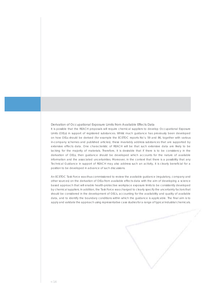#### Derivation of Occupational Exposure Limits from Available Effects Data

It is possible that the REACH proposals will require chemical suppliers to develop Occupational Exposure Limits (OELs) in support of registered substances. Whilst much guidance has previously been developed on how OELs should be derived (for example the ECETOC reports No's. 59 and 86, together with various in-company schemes and published articles), these invariably address substances that are supported by extensive effects data. One characteristic of REACH will be that such extensive data are likely to be lacking for the majority of materials. Therefore, it is desirable that if there is to be consistency in the derivation of OELs, then guidance should be developed which accounts for the nature of available information and the associated uncertainties. Moreover, in the context that there is a possibility that any Technical Guidance in support of REACH may also address such an activity, it is clearly beneficial for a position to be developed in advance of such discussions.

An ECETOC Task Force was thus commissioned to review the available guidance (regulatory, company and other sources) on the derivation of OELs from available effects data with the aim of developing a science based approach that will enable health-protective workplace exposure limits to be consistently developed by chemical suppliers. In addition, the Task Force was charged to clearly specify the uncertainty factors that should be considered in the development of OEL's, accounting for the availability and quality of available data, and to identify the boundary conditions within which the guidance is applicable. The final aim is to apply and validate the approach using representative case studies for a range of typical industrial chemicals.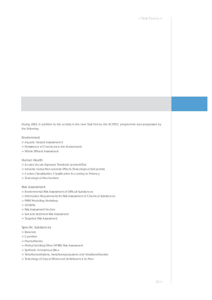< Task Forces >

During 2003, in addition to the activity in the new Task Forces, the ECETOC programme was progressed by the following:

### Environment

- > Aquatic Hazard Assessment II
- > Persistence of Chemicals in the Environment
- > Whole Effluent Assessment

### Human Health

- > Acutex (Acute Exposure Threshold Levels-AETLs)
- > Adverse Versus Non-adverse Effects (Toxicological End-points)
- > Contact Sensitisation: Classification According to Potency
- > Toxicological Mechanisms

#### Risk Assessment

- > Environmental Risk Assessment of Difficult Substances
- > Information Requirements for Risk Assessment of Chemical Substances
- > PBPK Modelling Workshop
- > (Q)SARs
- > Risk Assessment Factors
- > Soil and Sediment Risk Assessment
- > Targeted Risk Assessment

## Specific Substances

- > Butanols
- > Cyanides
- > Fluoroalkanes
- > Methyl tert-Butyl Ether (MTBE) Risk Assessment
- > Synthetic Amorphous Silica
- > Tetrafluoroethylene, Hexafluoropropylene and Vinylidenefluoride
- > Toxicology of Glycol Ethers and its Relevance to Man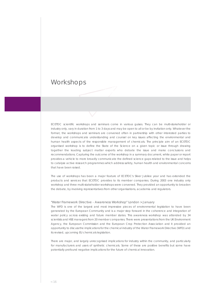## **Workshops**

ECETOC scientific workshops and seminars come in various guises. They can be multi-stakeholder or industry only, vary in duration from 1 to 3 days and may be open to all or be by invitation only. Whatever the format, the workshops and seminars are convened often in partnership with other interested parties to develop and communicate understanding and counsel on key issues affecting the environmental and human health aspects of the responsible management of chemicals. The principle aim of an ECETOC organised workshop is to define the State of the Science on a given topic or issue through drawing together the leading subject matter experts who debate the issue and make conclusions and recommendations. Capturing the outcome of the workshop in a summary document, white paper or report provides a vehicle to more broadly communicate the defined science gaps related to the issue and helps to catalyse active research programmes which address safety, human health and environmental concerns that have been raised.

The use of workshops has been a major feature of ECETOC's Silver Jubilee year and has extended the products and services that ECETOC provides to its member companies. During 2003 one industry only workshop and three multi-stakeholder workshops were convened. They provided an opportunity to broaden the debate, by involving representatives from other organisations, academia and regulators.

#### "Water Framework Directive - Awareness Workshop" London > January

The WFD is one of the largest and most impressive pieces of environmental legislation to have been generated by the European Community and is a major step forward in the coherence and integration of water policy across existing and future member states. This awareness workshop was attended by 34 scientists and HSE managers from 20 member companies. There were presentations from the UK Environment Agency, the European Commission and the European Crop Protection Association and it provided an opportunity to discuss the implications for the chemical industry of the Water Framework Directive (WFD) and its revised, upcoming EU chemicals legislation.

There are major, and largely unrecognised implications for industry within the community, and particularly for manufacturers and users of synthetic chemicals. Some of these are positive benefits but some have potentially profound negative implications for the future of chemical innovation.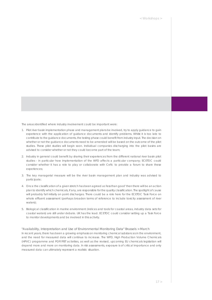< Workshops >

The areas identified where industry involvement could be important were:

- 1. Pilot river basin implementation phase and management plans be involved, try to apply guidance to gain experience with the application of guidance documents and identify problems. Whilst it is too late to contribute to the guidance documents, the testing phase could benefit from industry input. The decision on whether or not the guidance documents need to be amended will be based on the outcome of the pilot studies. These pilot studies will begin soon. Individual companies discharging into the pilot basins are advised to consider whether or not they could become part of the team;
- 2. Industry in general could benefit by sharing their experiences from the different national river basin pilot studies - in particular how implementation of the WFD affects a particular company; ECETOC could consider whether it has a role to play or collaborate with Cefic to provide a forum to share these experiences;
- 3. The key managerial measure will be the river basin management plan and industry was advised to participate;
- 4. Once the classification of a given stretch has been agreed as 'less than good' then there will be an action plan to identify which chemicals, if any, are responsible for the quality classification. The spotlight of cause will probably fall initially on point discharges. There could be a role here for the ECETOC Task Force on whole effluent assessment (perhaps broaden terms of reference to include toxicity assessment of river waters);
- 5. Biological classification in marine environment (indices and tools for coastal areas, industry data sets for coastal waters) are still under debate. UK has the lead. ECETOC could consider setting up a Task Force to monitor developments and be involved in this activity.

### "Availability, Interpretation and Use of Environmental Monitoring Data" Brussels > March

In recent years, there has been a growing emphasis on monitoring chemical substances in the environment, and the need for measured data will continue to increase. The WFD, High Production Volume Chemicals (HPVC) programme and POP/PBT activities, as well as the revised, upcoming EU chemicals legislation will depend more and more on monitoring data. In risk assessments, exposure is of critical importance and only measured data can ultimately represent a realistic situation.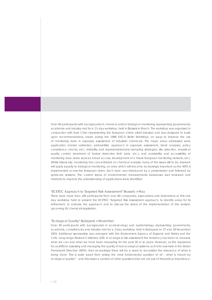Over 40 participants with backgrounds in chemical and/or biological monitoring representing governments, academia and industry met for a 1½ day workshop, held in Brussels in March. The workshop was organised in conjunction with Euro Chlor (representing the European chloro alkali industry) and was designed to build upon recommendations, made during the 1998 OECD Berlin Workshop, on ways to improve the use of monitoring data in exposure assessment of industrial chemicals. The major areas addressed were application (model validation, probabilistic approach in exposure assessment, trend analyses, policy compliance checks, etc), reliability and representativeness (sampling strategies, site selection, analytical quality control, treatment of 'below detection limit' data, etc.), and availability and accessibility of monitoring data (data sources, broad access, development of a future European monitoring network, etc). Whilst historically, monitoring has concentrated on chemical analysis, many of the issues still to be resolved will apply equally to biological monitoring, an area which will become increasingly important as the WFD is implemented across the European Union. Each topic was introduced by a presentation and followed by syndicate sessions. The current status of environmental measurements databases was reviewed and methods to improve the understanding of applications were identified.

### "ECETOC Approach to Targeted Risk Assessment" Brussels > May

There were more than 100 participants from over 60 companies, associations and federations at this one day workshop held to present the ECETOC Targeted Risk Assessment approach, to identify areas for its refinement, to endorse the approach and to discuss the status of the implementation of the revised, upcoming EU chemicals legislation.

#### "Ecological Quality" Budapest > November

Over 40 participants with backgrounds in ecotoxicology and epidemiology representing governments, academia, consultancies and industry met for a 2-day workshop held in Budapest on 27 and 28 November 2003. Additional sponsorship was arranged with the Environment Agency of England and Wales and the Cefic Long-range Research Initiative (LRI). In ecological risk assessment the tendency has been to measure what we can and what we have been measuring for the past 50 or so years. However, as the regulatory focus shifts to assessing and managing the quality of real ecological systems, as it is for example in the Water Framework Directive (WFD), then increasingly there will be a need to reconsider the relevance of what is being done. This is quite apart from raising the most fundamental question of all - what is meant by ecological quality? - and this raises a number of other questions that are not just of theoretical importance.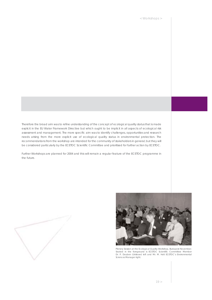< Workshops >

Therefore the broad aim was to refine understanding of the concept of ecological quality status that is made explicit in the EU Water Framework Directive but which ought to be implicit in all aspects of ecological risk assessment and management. The more specific aim was to identify challenges, opportunities and research needs arising from the more explicit use of ecological quality status in environmental protection. The recommendations from the workshop are intended for the community of stakeholders in general; but they will be considered particularly by the ECETOC Scientific Committee and prioritised for further action by ECETOC.

Further Workshops are planned for 2004 and this will remain a regular feature of the ECETOC programme in the future.





*Plenery Session at the Ecological Quality Workshop, Budapest November. Seated in the foreground is ECETOC Scientific Committee Member Dr. P. Douben (Unilever) left and Mr. M. Holt ECETOC's Environmental Sciences Manager right.*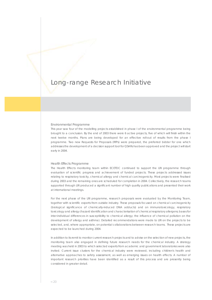# Long-range Research Initiative

#### Environmental Programme

This year saw four of the modelling projects established in phase I of the environmental programme being brought to a conclusion. By the end of 2003 there were 6 active projects, five of which will finish within the next twelve months. Plans are being developed for an effective roll-out of results from the phase I programme. Two new Requests for Proposals (RfPs) were prepared, the preferred bidder for one which addresses the development of a decision support tool for QSARs has been approved and the project will start early in 2004.

#### Health Effects Programme

The Health Effects monitoring team within ECETOC continued to support the LRI programme through evaluation of scientific progress and achievement of funded projects. These projects addressed issues relating to respiratory toxicity, chemical allergy and chemical carcinogenicity. Most projects were finalised during 2003 and the remaining ones are scheduled for completion in 2004. Collectively, the research teams supported through LRI produced a significant number of high quality publications and presented their work at international meetings.

For the next phase of the LRI programme, research proposals were evaluated by the Monitoring Team, together with scientific experts from outside industry. These proposals focused on chemical carcinogenicity (biological significance of chemically-induced DNA adducts) and on immunotoxicology, respiratory toxicology and allergy (hazard identification and characterisation of chemical respiratory allergens; bases for inter-individual differences in susceptibility to chemical allergy; the influence of chemical pollution on the development of allergy and asthma). Detailed recommendations were made to LRI on the projects to be selected, and, where appropriate, on potential collaborations between research teams. These projects are expected to be launched during 2004.

In addition to its remit to monitor current research projects and to advise on the selection of new projects, the monitoring team also engaged in defining future research needs for the chemical industry. A strategy meeting was held in 2003 to which selected experts from academic and government laboratories were also invited. Current issue clusters for the chemical industry were reviewed, including children's health and alternative approaches to safety assessment, as well as emerging issues on health effects. A number of important research priorities have been identified as a result of this process and are presently being considered in greater detail.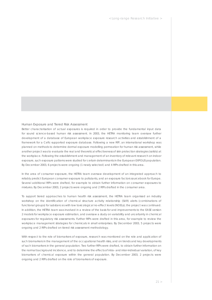< Long-range Research Initiative >

#### Human Exposure and Tiered Risk Assessment

Better characterisation of actual exposures is required in order to provide the fundamental input data for sound science-based human risk assessment. In 2003, the HETRA monitoring team oversaw further development of a database of European workplace exposure research activities and establishment of a framework for a Cefic-supported exposure database. Following a new RfP, an international workshop was planned on methods to determine dermal exposure modelling permeation for human risk assessment, while another project was to evaluate the real and theoretical effectiveness of skin protection strategies (solids) at the workplace. Following the establishment and management of an inventory of relevant research on indoor exposure, such exposure patterns were studied for certain determinants in the European EXPOLIS population. By December 2003, 6 projects were ongoing (1 newly selected) and 4 RfPs drafted in this area.

In the area of consumer exposure, the HETRA team oversaw development of an integrated approach to reliably predict European consumer exposure to pollutants, and an exposure factors sourcebook for Europe. Several additional RfPs were drafted, for example to obtain further information on consumer exposures to mixtures. By December 2003, 2 projects were ongoing and 2 RfPs drafted in the consumer area.

To support tiered approaches to human health risk assessment, the HETRA team organised an industry workshop on the identification of chemical structure activity relationship (SAR) alerts (combinations of functional groups) for substances with low toxicological no-effect levels (NOELs); the project was continued. In addition, the HETRA team was involved in a review of the basis for and improvements to the EASE version 2 models for workplace exposure estimation, and oversaw a study on variability and uncertainty in chemical exposures for regulatory risk assessments. Further RfPs were drafted in this area, for example to review the workplace management strategies for chemicals in small enterprises. By December 2003, 5 projects were ongoing and 2 RfPs drafted on tiered risk assessment methodology.

With respect to the role of biomarkers of exposure, research was monitored on the role and application of such biomarkers in the management of the occupational health risks, and on trends and key developments of such biomarkers in the general population. Two further RfPs were drafted, to obtain further information on the normal background incidence, and to determine the effects of intra- and inter-individual variation, of key biomarkers of chemical exposure within the general population. By December 2003, 2 projects were ongoing and 2 RfPs drafted on the role of biomarkers of exposure.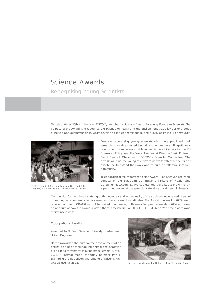## Science Awards

## Recognising Young Scientists

To celebrate its 25th Anniversary, ECETOC, launched a Science Award for young European Scientists. The purpose of the Award is to recognise the Science of health and the environment that allows us to protect ourselves, and our surroundings, whilst developing the economic future and quality of life in our community.



*ECETOC Board of Directors, Treasurer, Dr. J. Rudolph (Degussa) launches the 25th Jubilee Science Awards*

"We are recognising young scientists who have published their research in world-renowned journals and whose work will significantly contribute to a more sustainable future via new initiatives like the 'EU Chemicals Policy' and the 'Water Framework Directive'", said Professor Geoff Randall, Chairman of ECETOC's Scientific Committee. "The awards will fund the young scientists to network with other centres of excellence to extend their work and to build an effective research community."

In recognition of the importance of the Award, Prof. Kees van Leeuwen, Director of the European Commission's Institute of Health and Consumer Protection (EC IHCP), presented the prizes to the winners in a prestigious event at the splendid Natural History Museum in Brussels.

Competition for the prizes was strong both in numbers and in the quality of the applications received. A panel of leading independent scientists selected the successful candidates. The Award winners for 2003, each received a prize of €10,000 and will be invited to a meeting with senior European scientists in 2004 to present an account of how the award assisted them in their work. For 2003, ECETOC's Jubilee Year, the awards and their winners were:

## Occupational Health

*Awarded to Dr Sean Semple, University of Aberdeen, United Kingdom* 

He was awarded the prize for the development of an original approach for modelling dermal and inhalation exposure to solvents by spray painters: Semple, S, *et al*. 2001. A dermal model for spray painters. Part II: Estimating the deposition and uptake of solvents. Ann Occup Hyg 45: 25-33.



*The event was held at the Natural History Museum in Brussels*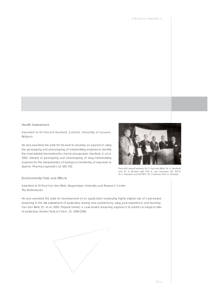#### Health Assessment

*Awarded to Dr Vincent Haufroid, Catholic University of Louvain, Belgium*

He was awarded the prize for his work to develop an approach using the genotyping and phenotyping of metabolising enzymes to identify the most reliable biomarkers for chemicals exposure: Haufroid, V, *et al*. 2002. Interest of genotyping and phenotyping of drug-metabolizing enzymes for the interpretation of biological monitoring of exposure to styrene. Pharmacogenetics 12: 691-702.



*From left: Award winners, Dr. P. Van den Brink, Dr. V. Haufroid, and Dr. S. Semple with Prof K. van Leeuwen (EC IHCP), Dr. J. Rudolph and ECETOC SC Chairman Prof. G. Randall.*

## Environmental Fate and Effects

*Awarded to Dr Paul Van den Brink, Wageningen University and Research Centre The Netherlands* 

He was awarded the prize for development of an application employing highly original use of case-based reasoning in the risk assessment of pesticides, solving new problems by using past experience and learning: Van den Brink, PJ, *et al*. 2002. Perpest model, a case-based reasoning approach to predict ecological risks of pesticides. Environ Toxicol Chem 21: 2500-2506.

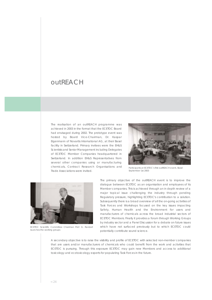## outREACH

The realisation of an outREACH programme was achieved in 2003 in the format that the ECETOC Board had envisaged during 2002. The prototype event was hosted by Board Vice-Chairman, Dr. Kaspar Eigenmann of Novartis International AG, at their Basel facility in Switzerland. Primary invitees were the EH&S Scientists and Senior Management including Delegates of ECETOC Member Companies headquartered in Switzerland. In addition EH&S Representatives from several other companies using or manufacturing chemicals, Contract Research Organisations and Trade Associations were invited.



*Participants at ECETOC's first outREACH event, Basel September 1st 2003*



*ECETOC Scientific Committee Chairman Prof. G. Randall launches the working groups*

The primary objective of the outREACH event is to improve the dialogue between ECETOC as an organisation and employees of its Member companies. This is achieved through an in depth review of a major topical issue challenging the industry through pending Regulatory pressure, highlighting ECETOC's contribution to a solution. Subsequently there is a broad overview of all the on-going activities of Task Forces and Workshops focused on the key issues impacting Safety, Human Health and the Environment for users and manufacturers of chemicals across the broad industrial sectors of ECETOC Members. Finally it provides a forum through Working Groups by industry sector and a Panel Discussion for a debate on future issues which have not surfaced previously but to which ECETOC could potentially contribute sound science.

A secondary objective is to raise the visibility and profile of ECETOC with selected non-member companies that are users and/or manufacturers of chemicals who could benefit from the work and activities that ECETOC is pursuing. Through this exposure ECETOC may gain new Members and access to additional toxicology and ecotoxicology experts for populating Task Forces in the future.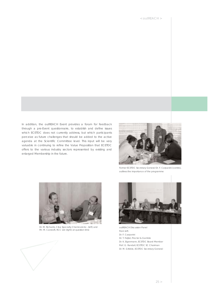In addition, the outREACH Event provides a forum for feedback through a pre-Event questionnaire, to establish and define issues which ECETOC does not currently address, but which participants perceive as future challenges that should be added to the active agenda at the Scientific Committee level. This input will be very valuable in continuing to refine the Value Proposition that ECETOC offers to the various industry sectors represented by existing and enlarged Membership in the future.



*Former ECETOC Secretary General Dr. F. Carpanini (centre), outlines the importance of the programme*



*Dr. M. Richards, Ciba Specialty Chemicals Inc. (left) and Mr. M. Candolfi, RCC Ltd (right) at question time*



*outREACH Discussion Panel From left: Dr. F. Carpanini Dr. T. Feijtel, Procter & Gamble Dr. K. Eigenmann, ECETOC Board Member Prof. G. Randall, ECETOC SC Chairman Dr. M. Gribble, ECETOC Secretary General*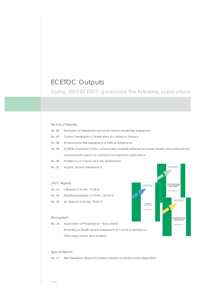# ECETOC Outputs

During 2003 ECETOC generated the following publications:

### Technical Reports

| Derivation of Assessment Factors for Human Health Risk Assessment<br>No. 86 |  |
|-----------------------------------------------------------------------------|--|
|-----------------------------------------------------------------------------|--|

- No. 87 Contact Sensitisation: Classification According to Potency
- No. 88 Environmental Risk Assessment of Difficult Substances

No. 89 (Q)SARs: Evaluation of the commercially available software for human health and environmental endpoints with respect to chemical management applications

> *Derivation of Assessment Factors for Human Health Risk Assessment* Technical Report No. 86

edefoc

*Risk Assessment Report for Existing Substances Methyl tertiary-Butyl Ether* ort No. 17

eceloc

*n-Butanol (CAS No. 71-36-3)* JACC Report No. 41

eceloc

- No. 90 Persistence of Chemicals in the Environment
- No. 91 Aquatic Hazard Assessment II

### JACC Reports

| No. 41 $n$ -Butanol (CAS No. 71-36-3)         |
|-----------------------------------------------|
| No. 42 Tetrafluoroethylene (CAS No. 116-14-3) |
| No. 43 sec-Butanol (CAS No. 78-92-2)          |

## Monograph

No. 33 Application of Physiological - Toxicokinetic Modelling to Health Hazard Assessment of Chemical Substances

(Toxicology Letters, Special Issue)

## Special Report

No. 17 Risk Assessment Report for Existing Substances Methyl tertiary-Butyl Ether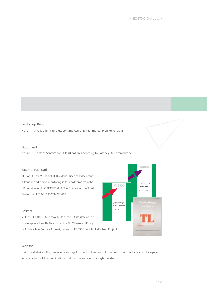## Workshop Report

No. 1 Availability, Interpretation and Use of Environmental Monitoring Data

## Document

No. 43 Contact Sensitisation: Classification According to Potency, A Commentary

### External Publication

M. Holt, K. Fox, M. Daniel, H. Buckland. Linear alkylbenzene sulfonate and boron monitoring in four catchments in the UK contribution to GREAT-ER # 11. The Science of the Total Environment 314-316 (2003) 271-288.

## ecefoc *Availability, Interpretation and Use of Environmental Monitoring Data* Workshop Report No. 1 *Contact Sensitisation: Classification According to Potency, A Commentary* Document No. 43

ecefod

### Posters

> The ECETOC Approach for the Assessment of Workplace Health Risks Under the EU Chemicals Policy

> Acutex Task Force - An Assignment to ECETOC in a Multi-Partner Project

### Website

Visit our Website http://www.ecetoc.org for the most recent information on our activities, workshops and seminars and a list of publications that can be ordered through the site.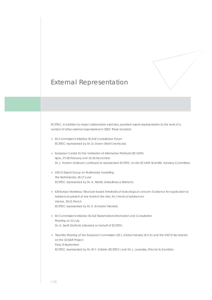

## External Representation

ECETOC, in addition to major collaborative exercises, provided expert representation to the work of a number of other external organisations in 2003. These included:

- > EU Commission's Initiative SCALE Consultative Forum ECETOC represented by Dr. D. Owen (Shell Chemicals).
- > European Centre for the Validation of Alternative Methods (ECVAM) Ispra, 27-28 February and 15-16 December Dr. J. Fentem (Unilever) continued to represented ECETOC on the ECVAM Scientific Advisory Committee.
- > OECD Expert Group on Multimedia modelling The Netherlands, 16-17 June ECETOC represented by Dr. A. Riddle (AstraZeneca Brixham).
- > ILSI-Europe Workshop 'Structure-based thresholds of toxicological concern: Guidance for application to substances present at low levels in the diet, for chemical substances' Vienna, 20-21 March ECETOC represented by Dr. E. Schrader (Henkel).
- > EU Commission's Initiative SCALE Stakeholders Information and Consultation Meeting on 11 July Dr. A. Sarrif (DuPont) attended on behalf of ECETOC.
- > Tripartite Meeting of the European Commission (EC), Global Industry (ICCA) and the OECD Secretariat on the (Q)SAR Project Paris, 8 September ECETOC represented by Dr. M.Y. Gribble (ECETOC) and Dr. J. Jaworska (Procter & Gamble).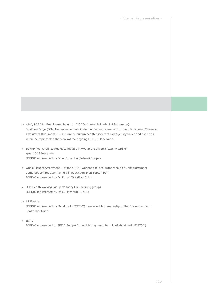< External Representation >

- > WHO/IPCS 11th Final Review Board on CICADs (Varna, Bulgaria, 8-9 September) Dr. W ten Berge (DSM, Netherlands) participated in the final review of Concise International Chemical Assessment Document (CICAD) on the human health aspects of hydrogen cyanides and cyanides, where he represented the views of the ongoing ECETOC Task Force.
- > ECVAM Workshop 'Strategies to replace in vivo acute systemic toxicity testing' Ispra, 15-18 September ECETOC represented by Dr. A. Colombo (Polimeri Europa).
- > Whole Effluent Assessment TF at the OSPAR workshop to discuss the whole effluent assessment demonstration programme held in Utrecht on 24-25 September. ECETOC represented by Dr. D. van Wijk (Euro Chlor).
- > ECB, Health Working Group (formerly CMR working group) ECETOC represented by Dr. C. Hennes (ECETOC).
- > ILSI Europe

ECETOC represented by Mr. M. Holt (ECETOC), continued its membership of the Environment and Health Task Force.

> SETAC

ECETOC represented on SETAC Europe Council through membership of Mr. M. Holt (ECETOC).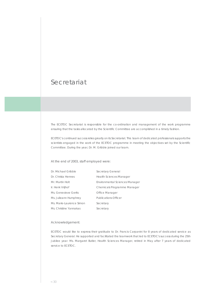## **Secretariat**

The ECETOC Secretariat is responsible for the co-ordination and management of the work programme ensuring that the tasks allocated by the Scientific Committee are accomplished in a timely fashion.

ECETOC's continued success relies greatly on its Secretariat. This team of dedicated professionals supports the scientists engaged in the work of the ECETOC programme in meeting the objectives set by the Scientific Committee. During the year, Dr. M. Gribble joined our team.

## At the end of 2003, staff employed were:

| Dr. Michael Gribble      | Secretary General                     |
|--------------------------|---------------------------------------|
| Dr. Christa Hennes       | <b>Health Sciences Manager</b>        |
| Mr. Martin Holt          | <b>Environmental Sciences Manager</b> |
| Ir. Henk Vrijhof         | Chemicals Programme Manager           |
| Ms. Genevieve Gerits     | Office Manager                        |
| Ms. Julieann Humphrey    | <b>Publications Officer</b>           |
| Ms. Marie-Laurence Simon | Secretary                             |
| Ms. Christine Yannakas   | Secretary                             |

### Acknowledgement:

ECETOC would like to express their gratitude to Dr. Francis Carpanini for 8 years of dedicated service as Secretary General. He supported and facilitated the teamwork that led to ECETOC's success during the 25th Jubilee year. Ms. Margaret Butler, Health Sciences Manager, retired in May after 7 years of dedicated service to ECETOC.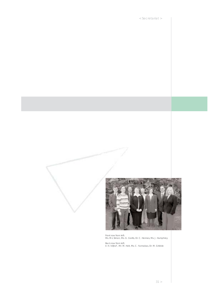< Secretariat >



*Front row from left: Ms. M-L Simon, Ms. G. Gerits, Dr. C. Hennes, Ms. J. Humphrey*

*Back row from left: Ir. H. Vrijhof , Mr. M. Holt, Ms. C. Yannakas, Dr. M. Gribble*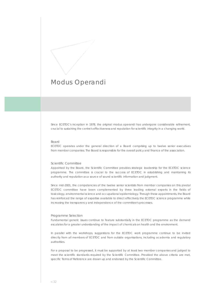# *Modus Operandi*

Since ECETOC's inception in 1978, the original modus operandi has undergone considerable refinement, crucial to sustaining the centre's effectiveness and reputation for scientific integrity in a changing world.

#### Board

ECETOC operates under the general direction of a Board comprising up to twelve senior executives from member companies. The Board is responsible for the overall policy and finance of the association.

### Scientific Committee

Appointed by the Board, the Scientific Committee provides strategic leadership for the ECETOC science programme. The committee is crucial to the success of ECETOC in establishing and maintaining its authority and reputation as a source of sound scientific information and judgment.

Since mid-2001, the competencies of the twelve senior scientists from member companies on this pivotal ECETOC committee have been complemented by three leading external experts in the fields of toxicology, environmental science and occupational epidemiology. Through these appointments, the Board has reinforced the range of expertise available to direct effectively the ECETOC science programme while increasing the transparency and independence of the committee's processes.

#### Programme Selection

Fundamental generic issues continue to feature substantially in the ECETOC programme as the demand escalates for a greater understanding of the impact of chemicals on health and the environment.

In parallel with the workshops, suggestions for the ECETOC work programme continue to be invited directly from all members of ECETOC and from outside organisations, including academia and regulatory authorities.

For a proposal to be progressed, it must be supported by at least two member companies and judged to meet the scientific standards required by the Scientific Committee. Provided the above criteria are met, specific Terms of Reference are drawn up and endorsed by the Scientific Committee.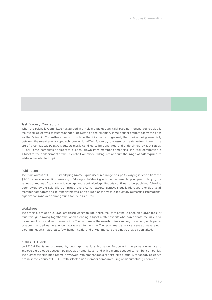< *Modus Operandi* >

#### Task Forces / Contractors

When the Scientific Committee has agreed in principle a project, an initial 'scoping' meeting defines clearly the overall objectives, resources needed, deliverables and timeplan. These project proposals form the basis for the Scientific Committee's decision on how the initiative is progressed, the choice being essentially between the sweat equity approach (conventional Task Force) or, to a lesser or greater extent, through the use of a contractor. ECETOC's outputs mostly continue to be generated and underpinned by Task Forces. A Task Force comprises appropriate experts, drawn from member companies. The final composition is subject to the endorsement of the Scientific Committee, taking into account the range of skills required to address the selected topic.

#### Publications

The main output of ECETOC's work programme is published in a range of reports, varying in scope from the 'JACC' reports on specific chemicals, to 'Monographs' dealing with the fundamental principles underlying the various branches of science in toxicology and ecotoxicology. Reports continue to be published following peer review by the Scientific Committee and external experts. ECETOC's publications are provided to all member companies and to other interested parties, such as the various regulatory authorities, international organisations and academic groups, for use as required.

#### Workshops

The principle aim of an ECETOC organised workshop is to define the State of the Science on a given topic or issue through drawing together the world's leading subject matter experts who can debate the issue and make conclusions and recommendations. The outcome of the workshop is a summary document, white paper or report that defines the science gaps related to the issue. The recommendations catalyse active research programmes which address safety, human health and environmental concerns that have been raised.

### outREACH Events

outREACH Events are organised by geographic regions throughout Europe with the primary objective to improve the dialogue between ECETOC as an organisation and with the employees of its member companies. The current scientific programme is reviewed with emphasis on a specific critical issue. A secondary objective is to raise the visibility of ECETOC with selected non-member companies using or manufacturing chemicals.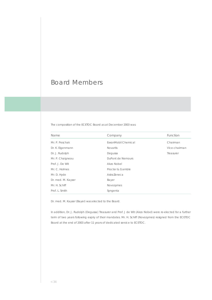# Board Members

The composition of the ECETOC Board as at December 2003 was:

| Name               | Company             | <b>Function</b> |
|--------------------|---------------------|-----------------|
| Mr. P. Peschak     | ExxonMobil Chemical | Chairman        |
| Dr. K. Eigenmann   | <b>Novartis</b>     | Vice-chairman   |
| Dr. J. Rudolph     | Degussa             | Treasurer       |
| Mr. P. Chaigneau   | DuPont de Nemours   |                 |
| Prof. J. De Wit    | Akzo Nobel          |                 |
| Mr. C. Holmes      | Procter & Gamble    |                 |
| Mr. D. Hyde        | AstraZeneca         |                 |
| Dr. med. M. Kayser | Bayer               |                 |
| Mr. H. Schiff      | Novozymes           |                 |
| Prof. L. Smith     | Syngenta            |                 |

Dr. med. M. Kayser (Bayer) was elected to the Board.

In addition, Dr. J. Rudolph (Degussa) Treasurer and Prof. J de Wit (Akzo Nobel) were re-elected for a further term of two years following expiry of their mandates. Mr. H. Schiff (Novozymes) resigned from the ECETOC Board at the end of 2003 after 11 years of dedicated service to ECETOC.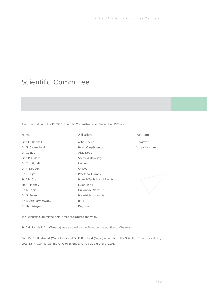# Scientific Committee

The composition of the ECETOC Scientific Committee as at December 2003 was:

| Name                  | Affiliation                        | <b>Function</b> |
|-----------------------|------------------------------------|-----------------|
| Prof. G. Randall      | AstraZeneca                        | Chairman        |
| Dr. N. Carmichael     | <b>Bayer CropScience</b>           | Vice-chairman   |
| Dr. C. Braun          | Akzo Nobel                         |                 |
| Prof. P. Calow        | Sheffield University               |                 |
| Dr. C. d'Hondt        | <b>Novartis</b>                    |                 |
| Dr. P. Douben         | Unilever                           |                 |
| Dr. T. Feijtel        | Procter & Gamble                   |                 |
| Prof. H. Greim        | <b>Munich Technical University</b> |                 |
| Mr. C. Money          | ExxonMobil                         |                 |
| Dr. A. Sarrif         | DuPont de Nemours                  |                 |
| Dr. G. Swaen          | <b>Maastricht University</b>       |                 |
| Dr. B. van Ravenzwaay | <b>BASF</b>                        |                 |
| Dr. H-J. Wiegand      | Degussa                            |                 |

The Scientific Committee held 7 meetings during the year.

Prof. G. Randall (AstraZeneca) was elected by the Board to the position of Chairman.

Both Dr. B. Hildebrand (Consultant) and Dr. E. Bomhard (Bayer) retired from the Scientific Committee during 2003. Dr. N. Carmichael (Bayer CropScience) retired at the end of 2003.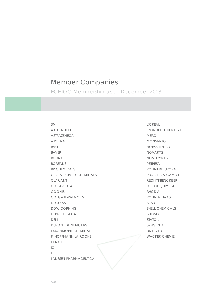# Member Companies

ECETOC Membership as at December 2003:

3M AKZO NOBEL ASTRAZENECA ATOFINA BASF BAYER BORAX BOREALIS BP CHEMICALS CIBA SPECIALTY CHEMICALS CLARIANT COCA-COLA COGNIS COLGATE-PALMOLIVE DEGUSSA DOW CORNING DOW CHEMICAL DSM DUPONT DE NEMOURS EXXONMOBIL CHEMICAL F. HOFFMANN LA ROCHE HENKEL ICI IFF JANSSEN PHARMACEUTICA

L'OREAL LYONDELL CHEMICAL MERCK MONSANTO NORSK HYDRO NOVARTIS NOVOZYMES PETRESA POLIMERI EUROPA PROCTER & GAMBLE RECKITT BENCKISER REPSOL QUIMICA RHODIA ROHM & HAAS SASOL SHELL CHEMICALS SOLVAY STATOIL SYNGENTA UNILEVER WACKER-CHEMIE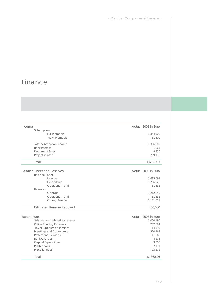< Member Companies & Finance >

# Finance

| Income                            | Actual 2003 in Euro |
|-----------------------------------|---------------------|
| Subscription                      |                     |
| <b>Full Members</b>               | 1,354,500           |
| 'New' Members                     | 31,500              |
| <b>Total Subscription Income</b>  | 1,386,000           |
| <b>Bank Interest</b>              | 31,065              |
| Document Sales                    | 8,850               |
| Project-related                   | 259,178             |
| Total                             | 1,685,093           |
| <b>Balance Sheet and Reserves</b> | Actual 2003 in Euro |
| <b>Balance Sheet</b>              |                     |
| Income                            | 1,685,093           |
| Expenditure                       | 1,736,626           |
| <b>Operating Margin</b>           | $-51,532$           |
| Reserves                          |                     |
| Opening                           | 1,212,850           |
| <b>Operating Margin</b>           | $-51,532$           |
| <b>Closing Reserve</b>            | 1,161,317           |
| <b>Estimated Reserve Required</b> | 450,000             |
| Expenditure                       | Actual 2003 in Euro |
| Salaries (and related expenses)   | 1,000,190           |
| <b>Office Running Expenses</b>    | 252,694             |
| Travel Expenses on Missions       | 14,393              |
| Meetings and Consultants          | 370.363             |
| <b>Professional Services</b>      | 11,365              |
| <b>Bank Charges</b>               | 4,176               |
| Capital Expenditure               | 3,000               |
| Publications                      | 57,171              |
| Miscellaneous                     | 23,271              |
| Total                             | 1,736,626           |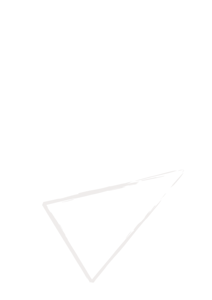